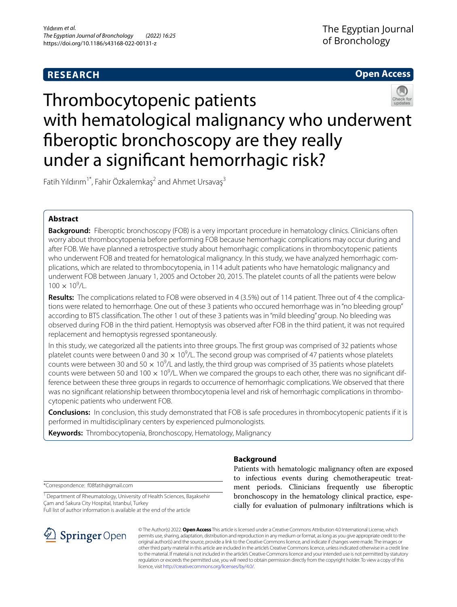# **RESEARCH**

# **Open Access**



# Thrombocytopenic patients with hematological malignancy who underwent fberoptic bronchoscopy are they really under a signifcant hemorrhagic risk?

Fatih Yıldırım<sup>1\*</sup>, Fahir Özkalemkaş<sup>2</sup> and Ahmet Ursavaş<sup>3</sup>

## **Abstract**

**Background:** Fiberoptic bronchoscopy (FOB) is a very important procedure in hematology clinics. Clinicians often worry about thrombocytopenia before performing FOB because hemorrhagic complications may occur during and after FOB. We have planned a retrospective study about hemorrhagic complications in thrombocytopenic patients who underwent FOB and treated for hematological malignancy. In this study, we have analyzed hemorrhagic complications, which are related to thrombocytopenia, in 114 adult patients who have hematologic malignancy and underwent FOB between January 1, 2005 and October 20, 2015. The platelet counts of all the patients were below  $100 \times 10^9$ /L.

**Results:** The complications related to FOB were observed in 4 (3.5%) out of 114 patient. Three out of 4 the complications were related to hemorrhage. One out of these 3 patients who occured hemorrhage was in "no bleeding group" according to BTS classifcation. The other 1 out of these 3 patients was in "mild bleeding" group. No bleeding was observed during FOB in the third patient. Hemoptysis was observed after FOB in the third patient, it was not required replacement and hemoptysis regressed spontaneously.

In this study, we categorized all the patients into three groups. The frst group was comprised of 32 patients whose platelet counts were between 0 and 30  $\times$  10<sup>9</sup>/L. The second group was comprised of 47 patients whose platelets counts were between 30 and 50  $\times$  10<sup>9</sup>/L and lastly, the third group was comprised of 35 patients whose platelets counts were between 50 and 100  $\times$  10<sup>9</sup>/L. When we compared the groups to each other, there was no significant difference between these three groups in regards to occurrence of hemorrhagic complications. We observed that there was no signifcant relationship between thrombocytopenia level and risk of hemorrhagic complications in thrombocytopenic patients who underwent FOB.

**Conclusions:** In conclusion, this study demonstrated that FOB is safe procedures in thrombocytopenic patients if it is performed in multidisciplinary centers by experienced pulmonologists.

**Keywords:** Thrombocytopenia, Bronchoscopy, Hematology, Malignancy

\*Correspondence: f08fatih@gmail.com

<sup>1</sup> Department of Rheumatology, University of Health Sciences, Başaksehir Çam and Sakura City Hospital, Istanbul, Turkey

Full list of author information is available at the end of the article



## **Background**

Patients with hematologic malignancy often are exposed to infectious events during chemotherapeutic treatment periods. Clinicians frequently use fberoptic bronchoscopy in the hematology clinical practice, especially for evaluation of pulmonary infltrations which is

© The Author(s) 2022. **Open Access** This article is licensed under a Creative Commons Attribution 4.0 International License, which permits use, sharing, adaptation, distribution and reproduction in any medium or format, as long as you give appropriate credit to the original author(s) and the source, provide a link to the Creative Commons licence, and indicate if changes were made. The images or other third party material in this article are included in the article's Creative Commons licence, unless indicated otherwise in a credit line to the material. If material is not included in the article's Creative Commons licence and your intended use is not permitted by statutory regulation or exceeds the permitted use, you will need to obtain permission directly from the copyright holder. To view a copy of this licence, visit [http://creativecommons.org/licenses/by/4.0/.](http://creativecommons.org/licenses/by/4.0/)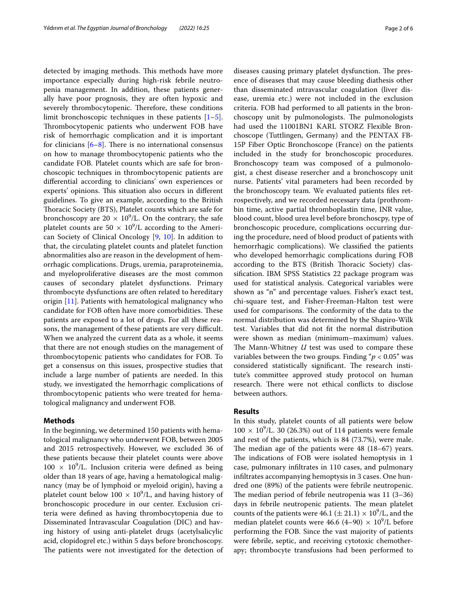detected by imaging methods. This methods have more importance especially during high-risk febrile neutropenia management. In addition, these patients generally have poor prognosis, they are often hypoxic and severely thrombocytopenic. Therefore, these conditions limit bronchoscopic techniques in these patients [\[1](#page-5-0)[–5](#page-5-1)]. Thrombocytopenic patients who underwent FOB have risk of hemorrhagic complication and it is important for clinicians  $[6–8]$  $[6–8]$ . There is no international consensus on how to manage thrombocytopenic patients who the candidate FOB. Platelet counts which are safe for bronchoscopic techniques in thrombocytopenic patients are diferential according to clinicians' own experiences or experts' opinions. This situation also occurs in different guidelines. To give an example, according to the British Thoracic Society (BTS), Platelet counts which are safe for bronchoscopy are  $20 \times 10^9$ /L. On the contrary, the safe platelet counts are  $50 \times 10^9$ /L according to the American Society of Clinical Oncology [\[9](#page-5-4), [10\]](#page-5-5). In addition to that, the circulating platelet counts and platelet function abnormalities also are reason in the development of hemorrhagic complications. Drugs, uremia, paraproteinemia, and myeloproliferative diseases are the most common causes of secondary platelet dysfunctions. Primary thrombocyte dysfunctions are often related to hereditary origin [\[11](#page-5-6)]. Patients with hematological malignancy who candidate for FOB often have more comorbidities. These patients are exposed to a lot of drugs. For all these reasons, the management of these patients are very difficult. When we analyzed the current data as a whole, it seems that there are not enough studies on the management of thrombocytopenic patients who candidates for FOB. To get a consensus on this issues, prospective studies that include a large number of patients are needed. In this study, we investigated the hemorrhagic complications of thrombocytopenic patients who were treated for hematological malignancy and underwent FOB.

#### **Methods**

In the beginning, we determined 150 patients with hematological malignancy who underwent FOB, between 2005 and 2015 retrospectively. However, we excluded 36 of these patients because their platelet counts were above  $100 \times 10^9$ /L. Inclusion criteria were defined as being older than 18 years of age, having a hematological malignancy (may be of lymphoid or myeloid origin), having a platelet count below  $100 \times 10^9$ /L, and having history of bronchoscopic procedure in our center. Exclusion criteria were defned as having thrombocytopenia due to Disseminated İntravascular Coagulation (DIC) and having history of using anti-platelet drugs (acetylsalicylic acid, clopidogrel etc.) within 5 days before bronchoscopy. The patients were not investigated for the detection of

diseases causing primary platelet dysfunction. The presence of diseases that may cause bleeding diathesis other than disseminated ıntravascular coagulation (liver disease, uremia etc.) were not included in the exclusion criteria. FOB had performed to all patients in the bronchoscopy unit by pulmonologists. The pulmonologists had used the 11001BN1 KARL STORZ Flexible Bronchoscope (Tuttlingen, Germany) and the PENTAX FB-15P Fiber Optic Bronchoscope (France) on the patients included in the study for bronchoscopic procedures. Bronchoscopy team was composed of a pulmonologist, a chest disease resercher and a bronchoscopy unit nurse. Patients' vital parameters had been recorded by the bronchoscopy team. We evaluated patients fles retrospectively, and we recorded necessary data (prothrombin time, active partial thromboplastin time, INR value, blood count, blood urea level before bronchoscpy, type of bronchoscopic procedure, complications occurring during the procedure, need of blood product of patients with hemorrhagic complications). We classifed the patients who developed hemorrhagic complications during FOB according to the BTS (British Thoracic Society) classifcation. IBM SPSS Statistics 22 package program was used for statistical analysis. Categorical variables were shown as "n" and percentage values. Fisher's exact test, chi-square test, and Fisher-Freeman-Halton test were used for comparisons. The conformity of the data to the normal distribution was determined by the Shapiro-Wilk test. Variables that did not ft the normal distribution were shown as median (minimum–maximum) values. The Mann-Whitney *U* test was used to compare these variables between the two groups. Finding "*p* < 0.05" was considered statistically significant. The research institute's committee approved study protocol on human research. There were not ethical conflicts to disclose between authors.

### **Results**

In this study, platelet counts of all patients were below  $100 \times 10^9$ /L. 30 (26.3%) out of 114 patients were female and rest of the patients, which is 84 (73.7%), were male. The median age of the patients were  $48$  (18–67) years. The indications of FOB were isolated hemoptysis in 1 case, pulmonary infltrates in 110 cases, and pulmonary infltrates accompanying hemoptysis in 3 cases. One hundred one (89%) of the patients were febrile neutropenic. The median period of febrile neutropenia was  $11$  (3–36) days in febrile neutropenic patients. The mean platelet counts of the patients were 46.1 ( $\pm$  21.1)  $\times$  10<sup>9</sup>/L, and the median platelet counts were  $46.6$  (4–90)  $\times$  10<sup>9</sup>/L before performing the FOB. Since the vast majority of patients were febrile, septic, and receiving cytotoxic chemotherapy; thrombocyte transfusions had been performed to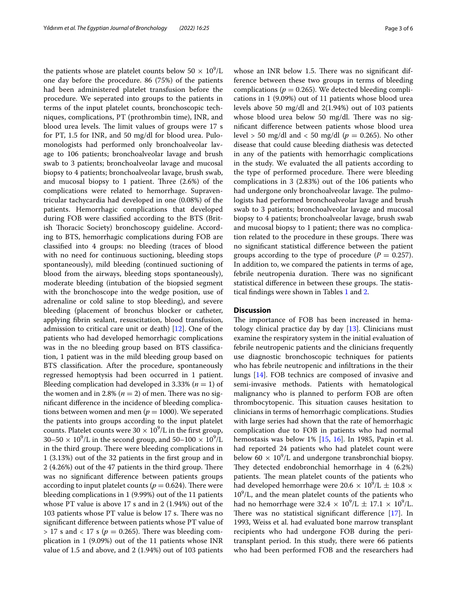the patients whose are platelet counts below  $50 \times 10^9$ /L one day before the procedure. 86 (75%) of the patients had been administered platelet transfusion before the procedure. We seperated into groups to the patients in terms of the input platelet counts, bronchoscopic techniques, complications, PT (prothrombin time), INR, and blood urea levels. The limit values of groups were 17 s for PT, 1.5 for INR, and 50 mg/dl for blood urea. Pulomonologists had performed only bronchoalveolar lavage to 106 patients; bronchoalveolar lavage and brush swab to 3 patients; bronchoalveolar lavage and mucosal biopsy to 4 patients; bronchoalveolar lavage, brush swab, and mucosal biopsy to 1 patient. Three  $(2.6%)$  of the complications were related to hemorrhage. Supraventricular tachycardia had developed in one (0.08%) of the patients. Hemorrhagic complications that developed during FOB were classifed according to the BTS (British Thoracic Society) bronchoscopy guideline. According to BTS, hemorrhagic complications during FOB are classifed into 4 groups: no bleeding (traces of blood with no need for continuous suctioning, bleeding stops spontaneously), mild bleeding (continued suctioning of blood from the airways, bleeding stops spontaneously), moderate bleeding (intubation of the biopsied segment with the bronchoscope into the wedge position, use of adrenaline or cold saline to stop bleeding), and severe bleeding (placement of bronchus blocker or catheter, applying fbrin sealant, resuscitation, blood transfusion, admission to critical care unit or death) [[12](#page-5-7)]. One of the patients who had developed hemorrhagic complications was in the no bleeding group based on BTS classifcation, 1 patient was in the mild bleeding group based on BTS classifcation. After the procedure, spontaneously regressed hemoptysis had been occurred in 1 patient. Bleeding complication had developed in 3.33% ( $n = 1$ ) of the women and in 2.8% ( $n = 2$ ) of men. There was no signifcant diference in the incidence of bleeding complications between women and men ( $p = 1000$ ). We seperated the patients into groups according to the input platelet counts. Platelet counts were  $30 \times 10^9$ /L in the first group,  $30-50 \times 10^9$ /L in the second group, and  $50-100 \times 10^9$ /L in the third group. There were bleeding complications in 1 (3.13%) out of the 32 patients in the frst group and in  $2(4.26%)$  out of the 47 patients in the third group. There was no signifcant diference between patients groups according to input platelet counts ( $p = 0.624$ ). There were bleeding complications in 1 (9.99%) out of the 11 patients whose PT value is above 17 s and in 2 (1.94%) out of the 103 patients whose PT value is below 17 s. There was no signifcant diference between patients whose PT value of  $> 17$  s and  $< 17$  s ( $p = 0.265$ ). There was bleeding complication in 1 (9.09%) out of the 11 patients whose INR value of 1.5 and above, and 2 (1.94%) out of 103 patients

whose an INR below 1.5. There was no significant difference between these two groups in terms of bleeding complications ( $p = 0.265$ ). We detected bleeding complications in 1 (9.09%) out of 11 patients whose blood urea levels above 50 mg/dl and 2(1.94%) out of 103 patients whose blood urea below 50 mg/dl. There was no signifcant diference between patients whose blood urea level > 50 mg/dl and < 50 mg/dl (*p* = 0.265). No other disease that could cause bleeding diathesis was detected in any of the patients with hemorrhagic complications in the study. We evaluated the all patients according to the type of performed procedure. There were bleeding complications in 3 (2.83%) out of the 106 patients who had undergone only bronchoalveolar lavage. The pulmologists had performed bronchoalveolar lavage and brush swab to 3 patients; bronchoalveolar lavage and mucosal biopsy to 4 patients; bronchoalveolar lavage, brush swab

and mucosal biopsy to 1 patient; there was no complication related to the procedure in these groups. There was no signifcant statistical diference between the patient groups according to the type of procedure ( $P = 0.257$ ). In addition to, we compared the patients in terms of age, febrile neutropenia duration. There was no significant statistical difference in between these groups. The statistical fndings were shown in Tables [1](#page-3-0) and [2.](#page-3-1)

#### **Discussion**

The importance of FOB has been increased in hematology clinical practice day by day [[13](#page-5-8)]. Clinicians must examine the respiratory system in the initial evaluation of febrile neutropenic patients and the clinicians frequently use diagnostic bronchoscopic techniques for patients who has febrile neutropenic and infltrations in the their lungs [[14](#page-5-9)]. FOB technics are composed of invasive and semi-invasive methods. Patients with hematological malignancy who is planned to perform FOB are often thrombocytopenic. This situation causes hesitation to clinicians in terms of hemorrhagic complications. Studies with large series had shown that the rate of hemorrhagic complication due to FOB in patients who had normal hemostasis was below 1% [[15,](#page-5-10) [16](#page-5-11)]. In 1985, Papin et al. had reported 24 patients who had platelet count were below  $60 \times 10^9$ /L and undergone transbronchial biopsy. They detected endobronchial hemorrhage in  $4(6.2\%)$ patients. The mean platelet counts of the patients who had developed hemorrhage were  $20.6 \times 10^9$ /L  $\pm$  10.8  $\times$  $10^9$ /L, and the mean platelet counts of the patients who had no hemorrhage were  $32.4 \times 10^9/\text{L} \pm 17.1 \times 10^9/\text{L}$ . There was no statistical significant difference  $[17]$  $[17]$ . In 1993, Weiss et al. had evaluated bone marrow transplant recipients who had undergone FOB during the peritransplant period. In this study, there were 66 patients who had been performed FOB and the researchers had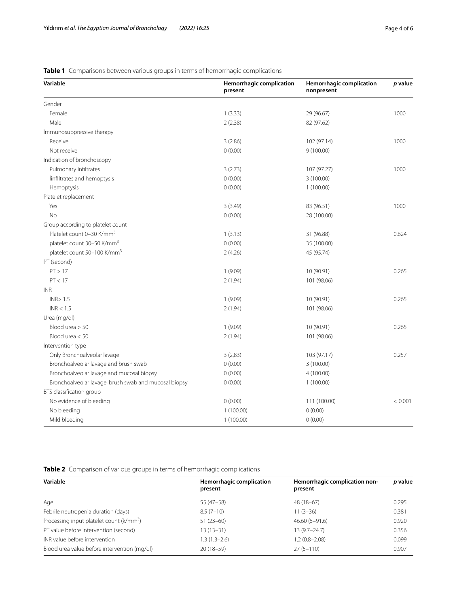## <span id="page-3-0"></span>**Table 1** Comparisons between various groups in terms of hemorrhagic complications

| Variable                                              | <b>Hemorrhagic complication</b><br>present | Hemorrhagic complication<br>nonpresent | p value |
|-------------------------------------------------------|--------------------------------------------|----------------------------------------|---------|
| Gender                                                |                                            |                                        |         |
| Female                                                | 1(3.33)                                    | 29 (96.67)                             | 1000    |
| Male                                                  | 2(2.38)                                    | 82 (97.62)                             |         |
| Immunosuppressive therapy                             |                                            |                                        |         |
| Receive                                               | 3(2.86)                                    | 102 (97.14)                            | 1000    |
| Not receive                                           | 0(0.00)                                    | 9(100.00)                              |         |
| Indication of bronchoscopy                            |                                            |                                        |         |
| Pulmonary infiltrates                                 | 3(2.73)                                    | 107 (97.27)                            | 1000    |
| linfiltrates and hemoptysis                           | 0(0.00)                                    | 3(100.00)                              |         |
| Hemoptysis                                            | 0(0.00)                                    | 1(100.00)                              |         |
| Platelet replacement                                  |                                            |                                        |         |
| Yes                                                   | 3(3.49)                                    | 83 (96.51)                             | 1000    |
| <b>No</b>                                             | 0(0.00)                                    | 28 (100.00)                            |         |
| Group according to platelet count                     |                                            |                                        |         |
| Platelet count 0-30 K/mm <sup>3</sup>                 | 1(3.13)                                    | 31 (96.88)                             | 0.624   |
| platelet count 30-50 K/mm <sup>3</sup>                | 0(0.00)                                    | 35 (100.00)                            |         |
| platelet count 50-100 K/mm <sup>3</sup>               | 2(4.26)                                    | 45 (95.74)                             |         |
| PT (second)                                           |                                            |                                        |         |
| PT > 17                                               | 1(9.09)                                    | 10 (90.91)                             | 0.265   |
| PT < 17                                               | 2(1.94)                                    | 101 (98.06)                            |         |
| <b>INR</b>                                            |                                            |                                        |         |
| INR > 1.5                                             | 1(9.09)                                    | 10 (90.91)                             | 0.265   |
| INR < 1.5                                             | 2(1.94)                                    | 101 (98.06)                            |         |
| Urea (mg/dl)                                          |                                            |                                        |         |
| Blood urea $>$ 50                                     | 1(9.09)                                    | 10 (90.91)                             | 0.265   |
| Blood urea $< 50$                                     | 2(1.94)                                    | 101 (98.06)                            |         |
| Intervention type                                     |                                            |                                        |         |
| Only Bronchoalveolar lavage                           | 3(2,83)                                    | 103 (97.17)                            | 0.257   |
| Bronchoalveolar lavage and brush swab                 | 0(0.00)                                    | 3(100.00)                              |         |
| Bronchoalveolar lavage and mucosal biopsy             | 0(0.00)                                    | 4 (100.00)                             |         |
| Bronchoalveolar lavage, brush swab and mucosal biopsy | 0(0.00)                                    | 1(100.00)                              |         |
| BTS classification group                              |                                            |                                        |         |
| No evidence of bleeding                               | 0(0.00)                                    | 111 (100.00)                           | < 0.001 |
| No bleeding                                           | 1(100.00)                                  | 0(0.00)                                |         |
| Mild bleeding                                         | 1(100.00)                                  | 0(0.00)                                |         |

<span id="page-3-1"></span>**Table 2** Comparison of various groups in terms of hemorrhagic complications

| Variable                                             | Hemorrhagic complication<br>present | Hemorrhagic complication non-<br>present | p value |
|------------------------------------------------------|-------------------------------------|------------------------------------------|---------|
| Age                                                  | $55(47-58)$                         | 48 (18-67)                               | 0.295   |
| Febrile neutropenia duration (days)                  | $8.5(7-10)$                         | $11(3-36)$                               | 0.381   |
| Processing input platelet count (k/mm <sup>3</sup> ) | $51(23-60)$                         | $46.60(5 - 91.6)$                        | 0.920   |
| PT value before intervention (second)                | $13(13-31)$                         | $13(9.7 - 24.7)$                         | 0.356   |
| INR value before intervention                        | $1.3(1.3-2.6)$                      | $1.2(0.8 - 2.08)$                        | 0.099   |
| Blood urea value before intervention (mg/dl)         | $20(18-59)$                         | $27(5 - 110)$                            | 0.907   |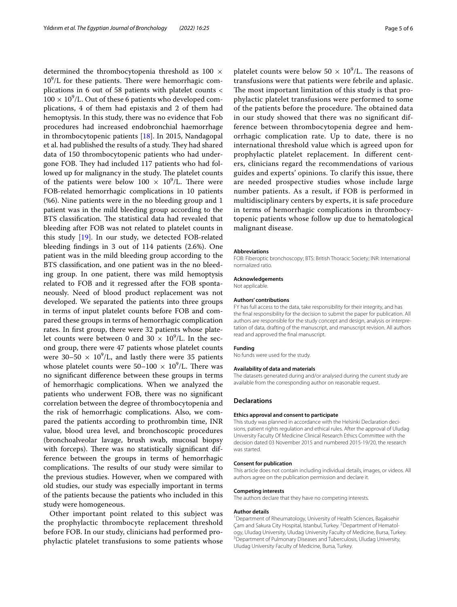determined the thrombocytopenia threshold as 100 ×  $10^9$ /L for these patients. There were hemorrhagic complications in 6 out of 58 patients with platelet counts <  $100 \times 10^9$ /L. Out of these 6 patients who developed complications, 4 of them had epistaxis and 2 of them had hemoptysis. In this study, there was no evidence that Fob procedures had increased endobronchial haemorrhage in thrombocytopenic patients [\[18\]](#page-5-13). In 2015, Nandagopal et al. had published the results of a study. They had shared data of 150 thrombocytopenic patients who had undergone FOB. They had included 117 patients who had followed up for malignancy in the study. The platelet counts of the patients were below  $100 \times 10^9$ /L. There were FOB-related hemorrhagic complications in 10 patients (%6). Nine patients were in the no bleeding group and 1 patient was in the mild bleeding group according to the BTS classification. The statistical data had revealed that bleeding after FOB was not related to platelet counts in this study [[19](#page-5-14)]. In our study, we detected FOB-related bleeding fndings in 3 out of 114 patients (2.6%). One patient was in the mild bleeding group according to the BTS classifcation, and one patient was in the no bleeding group. In one patient, there was mild hemoptysis related to FOB and it regressed after the FOB spontaneously. Need of blood product replacement was not developed. We separated the patients into three groups in terms of input platelet counts before FOB and compared these groups in terms of hemorrhagic complication rates. In frst group, there were 32 patients whose platelet counts were between 0 and  $30 \times 10^9$ /L. In the second group, there were 47 patients whose platelet counts were  $30-50 \times 10^9$ /L, and lastly there were 35 patients whose platelet counts were  $50-100 \times 10^9$ /L. There was no signifcant diference between these groups in terms of hemorrhagic complications. When we analyzed the patients who underwent FOB, there was no signifcant correlation between the degree of thrombocytopenia and the risk of hemorrhagic complications. Also, we compared the patients according to prothrombin time, INR value, blood urea level, and bronchoscopic procedures (bronchoalveolar lavage, brush swab, mucosal biopsy with forceps). There was no statistically significant difference between the groups in terms of hemorrhagic complications. The results of our study were similar to the previous studies. However, when we compared with old studies, our study was especially important in terms of the patients because the patients who included in this study were homogeneous.

Other important point related to this subject was the prophylactic thrombocyte replacement threshold before FOB. In our study, clinicians had performed prophylactic platelet transfusions to some patients whose platelet counts were below  $50 \times 10^9$ /L. The reasons of transfusions were that patients were febrile and aplasic. The most important limitation of this study is that prophylactic platelet transfusions were performed to some of the patients before the procedure. The obtained data in our study showed that there was no signifcant difference between thrombocytopenia degree and hemorrhagic complication rate. Up to date, there is no international threshold value which is agreed upon for prophylactic platelet replacement. In diferent centers, clinicians regard the recommendations of various guides and experts' opinions. To clarify this issue, there are needed prospective studies whose include large number patients. As a result, if FOB is performed in multidisciplinary centers by experts, it is safe procedure in terms of hemorrhagic complications in thrombocytopenic patients whose follow up due to hematological malignant disease.

#### **Abbreviations**

FOB: Fiberoptic bronchoscopy; BTS: British Thoracic Society; INR: International normalized ratio.

#### **Acknowledgements** Not applicable.

#### **Authors' contributions**

FY has full access to the data, take responsibility for their integrity, and has the fnal responsibility for the decision to submit the paper for publication. All authors are responsible for the study concept and design, analysis or interpretation of data, drafting of the manuscript, and manuscript revision. All authors read and approved the fnal manuscript.

#### **Funding**

No funds were used for the study.

#### **Availability of data and materials**

The datasets generated during and/or analysed during the current study are available from the corresponding author on reasonable request.

#### **Declarations**

#### **Ethics approval and consent to participate**

This study was planned in accordance with the Helsinki Declaration decisions, patient rights regulation and ethical rules. After the approval of Uludag University Faculty Of Medicine Clinical Research Ethics Committee with the decision dated 03 November 2015 and numbered 2015-19/20, the research was started.

#### **Consent for publication**

This article does not contain including individual details, images, or videos. All authors agree on the publication permission and declare it.

#### **Competing interests**

The authors declare that they have no competing interests.

#### **Author details**

<sup>1</sup> Department of Rheumatology, University of Health Sciences, Başaksehir Çam and Sakura City Hospital, Istanbul, Turkey. <sup>2</sup> Department of Hematology, Uludag University, Uludag University Faculty of Medicine, Bursa, Turkey. <sup>3</sup> Department of Pulmonary Diseases and Tuberculosis, Uludag University, Uludag University Faculty of Medicine, Bursa, Turkey.